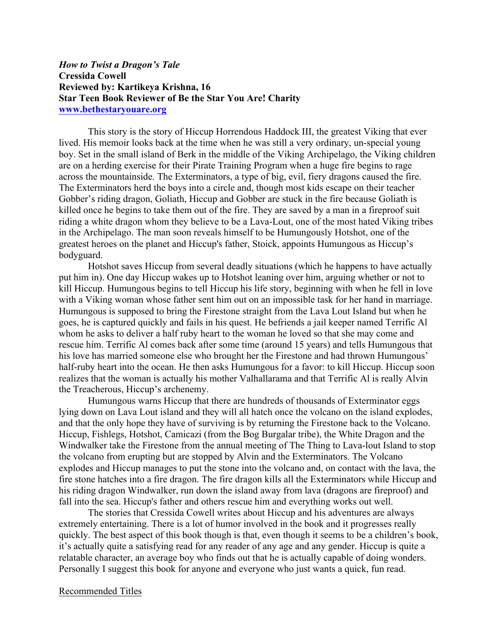## *How to Twist a Dragon's Tale* **Cressida Cowell Reviewed by: Kartikeya Krishna, 16 Star Teen Book Reviewer of Be the Star You Are! Charity www.bethestaryouare.org**

This story is the story of Hiccup Horrendous Haddock III, the greatest Viking that ever lived. His memoir looks back at the time when he was still a very ordinary, un-special young boy. Set in the small island of Berk in the middle of the Viking Archipelago, the Viking children are on a herding exercise for their Pirate Training Program when a huge fire begins to rage across the mountainside. The Exterminators, a type of big, evil, fiery dragons caused the fire. The Exterminators herd the boys into a circle and, though most kids escape on their teacher Gobber's riding dragon, Goliath, Hiccup and Gobber are stuck in the fire because Goliath is killed once he begins to take them out of the fire. They are saved by a man in a fireproof suit riding a white dragon whom they believe to be a Lava-Lout, one of the most hated Viking tribes in the Archipelago. The man soon reveals himself to be Humungously Hotshot, one of the greatest heroes on the planet and Hiccup's father, Stoick, appoints Humungous as Hiccup's bodyguard.

Hotshot saves Hiccup from several deadly situations (which he happens to have actually put him in). One day Hiccup wakes up to Hotshot leaning over him, arguing whether or not to kill Hiccup. Humungous begins to tell Hiccup his life story, beginning with when he fell in love with a Viking woman whose father sent him out on an impossible task for her hand in marriage. Humungous is supposed to bring the Firestone straight from the Lava Lout Island but when he goes, he is captured quickly and fails in his quest. He befriends a jail keeper named Terrific Al whom he asks to deliver a half ruby heart to the woman he loved so that she may come and rescue him. Terrific Al comes back after some time (around 15 years) and tells Humungous that his love has married someone else who brought her the Firestone and had thrown Humungous' half-ruby heart into the ocean. He then asks Humungous for a favor: to kill Hiccup. Hiccup soon realizes that the woman is actually his mother Valhallarama and that Terrific Al is really Alvin the Treacherous, Hiccup's archenemy.

Humungous warns Hiccup that there are hundreds of thousands of Exterminator eggs lying down on Lava Lout island and they will all hatch once the volcano on the island explodes, and that the only hope they have of surviving is by returning the Firestone back to the Volcano. Hiccup, Fishlegs, Hotshot, Camicazi (from the Bog Burgalar tribe), the White Dragon and the Windwalker take the Firestone from the annual meeting of The Thing to Lava-lout Island to stop the volcano from erupting but are stopped by Alvin and the Exterminators. The Volcano explodes and Hiccup manages to put the stone into the volcano and, on contact with the lava, the fire stone hatches into a fire dragon. The fire dragon kills all the Exterminators while Hiccup and his riding dragon Windwalker, run down the island away from lava (dragons are fireproof) and fall into the sea. Hiccup's father and others rescue him and everything works out well.

The stories that Cressida Cowell writes about Hiccup and his adventures are always extremely entertaining. There is a lot of humor involved in the book and it progresses really quickly. The best aspect of this book though is that, even though it seems to be a children's book, it's actually quite a satisfying read for any reader of any age and any gender. Hiccup is quite a relatable character, an average boy who finds out that he is actually capable of doing wonders. Personally I suggest this book for anyone and everyone who just wants a quick, fun read.

## Recommended Titles